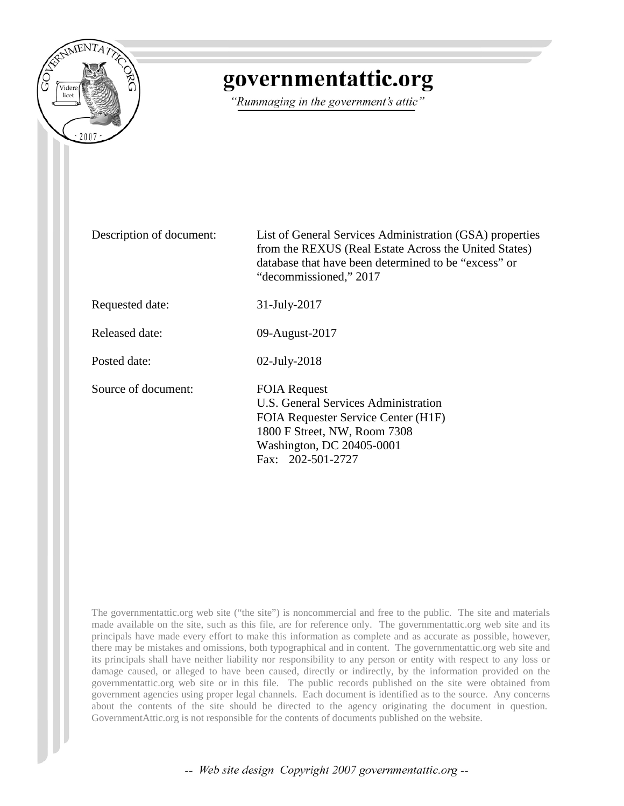

# governmentattic.org

"Rummaging in the government's attic"

Description of document: List of General Services Administration (GSA) properties from the REXUS (Real Estate Across the United States) database that have been determined to be "excess" or "decommissioned," 2017

Requested date: 31-July-2017

Released date: 09-August-2017

Posted date: 02-July-2018

Source of document: FOIA Request

U.S. General Services Administration FOIA Requester Service Center (H1F) 1800 F Street, NW, Room 7308 Washington, DC 20405-0001 Fax: [202-501-2727](tel:2025012727)

The governmentattic.org web site ("the site") is noncommercial and free to the public. The site and materials made available on the site, such as this file, are for reference only. The governmentattic.org web site and its principals have made every effort to make this information as complete and as accurate as possible, however, there may be mistakes and omissions, both typographical and in content. The governmentattic.org web site and its principals shall have neither liability nor responsibility to any person or entity with respect to any loss or damage caused, or alleged to have been caused, directly or indirectly, by the information provided on the governmentattic.org web site or in this file. The public records published on the site were obtained from government agencies using proper legal channels. Each document is identified as to the source. Any concerns about the contents of the site should be directed to the agency originating the document in question. GovernmentAttic.org is not responsible for the contents of documents published on the website.

-- Web site design Copyright 2007 governmentattic.org --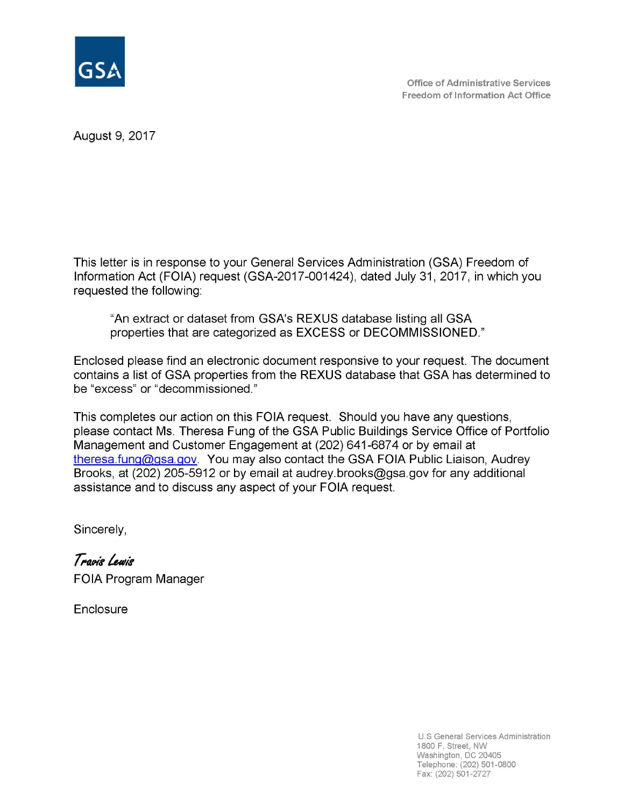

August 9, 2017

This letter is in response to your General Services Administration (GSA) Freedom of Information Act (FOIA) request (GSA-2017-001424), dated July 31, 2017, in which you requested the following:

"An extract or dataset from GSA's REXUS database listing all GSA properties that are categorized as EXCESS or DECOMMISSIONED."

Enclosed please find an electronic document responsive to your request. The document contains a list of GSA properties from the REXUS database that GSA has determined to be "excess" or "decommissioned."

This completes our action on this FOIA request. Should you have any questions, please contact Ms. Theresa Fung of the GSA Public Buildings Service Office of Portfolio Management and Customer Engagement at (202) 641-6874 or by email at theresa.fung@gsa.gov. You may also contact the GSA FOIA Public Liaison, Audrey Brooks, at (202) 205-5912 or by email at audrey.brooks@gsa.gov for any additional assistance and to discuss any aspect of your FOIA request.

Sincerely,

Travis Lewis FOIA Program Manager

**Enclosure** 

U.S General Services Administration 1800 F. Street, NW Washington, DC 20405 Telephone: (202) 501-0800 Fax: (202) 501-2727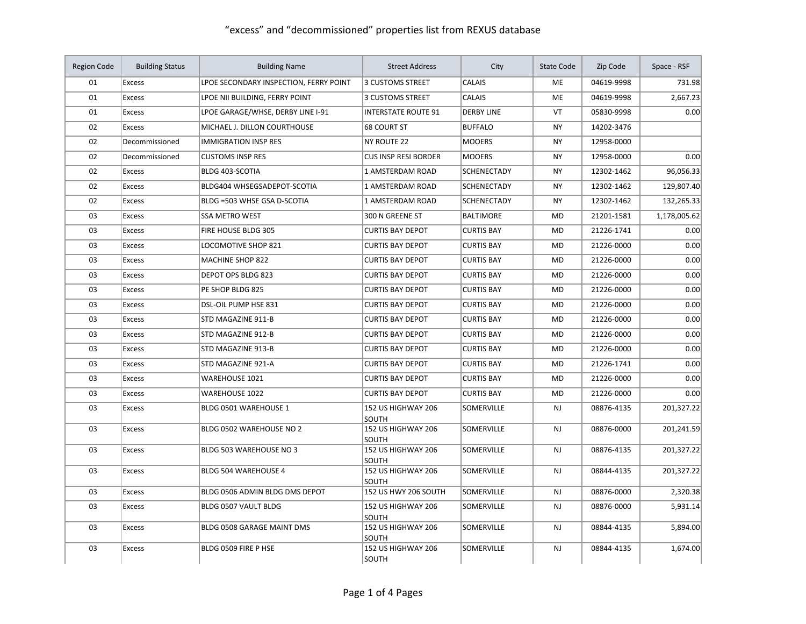| <b>Region Code</b> | <b>Building Status</b> | <b>Building Name</b>                   | <b>Street Address</b>       | City               | State Code | Zip Code   | Space - RSF  |
|--------------------|------------------------|----------------------------------------|-----------------------------|--------------------|------------|------------|--------------|
| 01                 | <b>Excess</b>          | LPOE SECONDARY INSPECTION, FERRY POINT | 3 CUSTOMS STREET            | <b>CALAIS</b>      | <b>ME</b>  | 04619-9998 | 731.98       |
| 01                 | <b>Excess</b>          | LPOE NII BUILDING, FERRY POINT         | 3 CUSTOMS STREET            | CALAIS             | ME         | 04619-9998 | 2,667.23     |
| 01                 | <b>Excess</b>          | LPOE GARAGE/WHSE, DERBY LINE I-91      | <b>INTERSTATE ROUTE 91</b>  | <b>DERBY LINE</b>  | VT         | 05830-9998 | 0.00         |
| 02                 | <b>Excess</b>          | MICHAEL J. DILLON COURTHOUSE           | <b>68 COURT ST</b>          | <b>BUFFALO</b>     | <b>NY</b>  | 14202-3476 |              |
| 02                 | Decommissioned         | <b>IMMIGRATION INSP RES</b>            | <b>NY ROUTE 22</b>          | <b>MOOERS</b>      | <b>NY</b>  | 12958-0000 |              |
| 02                 | Decommissioned         | <b>CUSTOMS INSP RES</b>                | <b>CUS INSP RESI BORDER</b> | <b>MOOERS</b>      | <b>NY</b>  | 12958-0000 | 0.00         |
| 02                 | Excess                 | BLDG 403-SCOTIA                        | 1 AMSTERDAM ROAD            | SCHENECTADY        | <b>NY</b>  | 12302-1462 | 96,056.33    |
| 02                 | <b>Excess</b>          | <b>BLDG404 WHSEGSADEPOT-SCOTIA</b>     | 1 AMSTERDAM ROAD            | <b>SCHENECTADY</b> | <b>NY</b>  | 12302-1462 | 129,807.40   |
| 02                 | <b>Excess</b>          | BLDG =503 WHSE GSA D-SCOTIA            | 1 AMSTERDAM ROAD            | SCHENECTADY        | <b>NY</b>  | 12302-1462 | 132,265.33   |
| 03                 | <b>Excess</b>          | <b>SSA METRO WEST</b>                  | 300 N GREENE ST             | <b>BALTIMORE</b>   | MD         | 21201-1581 | 1,178,005.62 |
| 03                 | <b>Excess</b>          | FIRE HOUSE BLDG 305                    | <b>CURTIS BAY DEPOT</b>     | <b>CURTIS BAY</b>  | <b>MD</b>  | 21226-1741 | 0.00         |
| 03                 | <b>Excess</b>          | LOCOMOTIVE SHOP 821                    | <b>CURTIS BAY DEPOT</b>     | <b>CURTIS BAY</b>  | MD         | 21226-0000 | 0.00         |
| 03                 | Excess                 | MACHINE SHOP 822                       | <b>CURTIS BAY DEPOT</b>     | <b>CURTIS BAY</b>  | <b>MD</b>  | 21226-0000 | 0.00         |
| 03                 | Excess                 | DEPOT OPS BLDG 823                     | <b>CURTIS BAY DEPOT</b>     | <b>CURTIS BAY</b>  | <b>MD</b>  | 21226-0000 | 0.00         |
| 03                 | <b>Excess</b>          | PE SHOP BLDG 825                       | <b>CURTIS BAY DEPOT</b>     | <b>CURTIS BAY</b>  | <b>MD</b>  | 21226-0000 | 0.00         |
| 03                 | Excess                 | DSL-OIL PUMP HSE 831                   | <b>CURTIS BAY DEPOT</b>     | <b>CURTIS BAY</b>  | <b>MD</b>  | 21226-0000 | 0.00         |
| 03                 | Excess                 | STD MAGAZINE 911-B                     | <b>CURTIS BAY DEPOT</b>     | <b>CURTIS BAY</b>  | <b>MD</b>  | 21226-0000 | 0.00         |
| 03                 | <b>Excess</b>          | STD MAGAZINE 912-B                     | <b>CURTIS BAY DEPOT</b>     | <b>CURTIS BAY</b>  | MD         | 21226-0000 | 0.00         |
| 03                 | <b>Excess</b>          | STD MAGAZINE 913-B                     | <b>CURTIS BAY DEPOT</b>     | <b>CURTIS BAY</b>  | MD         | 21226-0000 | 0.00         |
| 03                 | Excess                 | STD MAGAZINE 921-A                     | <b>CURTIS BAY DEPOT</b>     | <b>CURTIS BAY</b>  | <b>MD</b>  | 21226-1741 | 0.00         |
| 03                 | <b>Excess</b>          | <b>WAREHOUSE 1021</b>                  | <b>CURTIS BAY DEPOT</b>     | <b>CURTIS BAY</b>  | <b>MD</b>  | 21226-0000 | 0.00         |
| 03                 | <b>Excess</b>          | <b>WAREHOUSE 1022</b>                  | <b>CURTIS BAY DEPOT</b>     | <b>CURTIS BAY</b>  | MD         | 21226-0000 | 0.00         |
| 03                 | <b>Excess</b>          | BLDG 0501 WAREHOUSE 1                  | 152 US HIGHWAY 206<br>SOUTH | SOMERVILLE         | <b>NJ</b>  | 08876-4135 | 201,327.22   |
| 03                 | <b>Excess</b>          | BLDG 0502 WAREHOUSE NO 2               | 152 US HIGHWAY 206<br>SOUTH | SOMERVILLE         | <b>NJ</b>  | 08876-0000 | 201,241.59   |
| 03                 | <b>Excess</b>          | BLDG 503 WAREHOUSE NO 3                | 152 US HIGHWAY 206<br>SOUTH | SOMERVILLE         | <b>NJ</b>  | 08876-4135 | 201,327.22   |
| 03                 | <b>Excess</b>          | BLDG 504 WAREHOUSE 4                   | 152 US HIGHWAY 206<br>SOUTH | SOMERVILLE         | <b>NJ</b>  | 08844-4135 | 201,327.22   |
| 03                 | <b>Excess</b>          | BLDG 0506 ADMIN BLDG DMS DEPOT         | 152 US HWY 206 SOUTH        | SOMERVILLE         | <b>NJ</b>  | 08876-0000 | 2,320.38     |
| 03                 | <b>Excess</b>          | BLDG 0507 VAULT BLDG                   | 152 US HIGHWAY 206<br>SOUTH | SOMERVILLE         | <b>NJ</b>  | 08876-0000 | 5,931.14     |
| 03                 | <b>Excess</b>          | BLDG 0508 GARAGE MAINT DMS             | 152 US HIGHWAY 206<br>SOUTH | SOMERVILLE         | <b>NJ</b>  | 08844-4135 | 5,894.00     |
| 03                 | <b>Excess</b>          | BLDG 0509 FIRE P HSE                   | 152 US HIGHWAY 206<br>SOUTH | <b>SOMERVILLE</b>  | <b>NJ</b>  | 08844-4135 | 1,674.00     |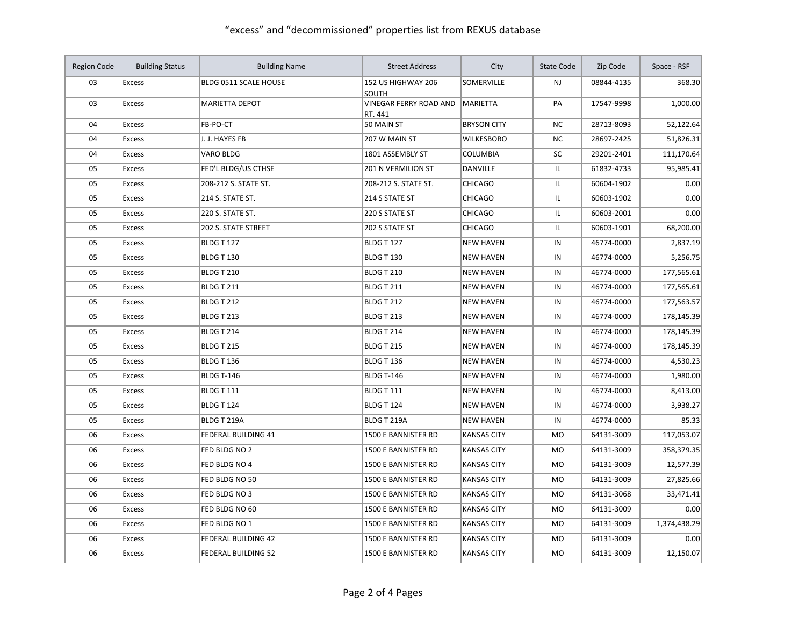| Region Code | <b>Building Status</b> | <b>Building Name</b>       | <b>Street Address</b>             | City               | <b>State Code</b> | Zip Code   | Space - RSF  |
|-------------|------------------------|----------------------------|-----------------------------------|--------------------|-------------------|------------|--------------|
| 03          | <b>Excess</b>          | BLDG 0511 SCALE HOUSE      | 152 US HIGHWAY 206<br>SOUTH       | <b>SOMERVILLE</b>  | <b>NJ</b>         | 08844-4135 | 368.30       |
| 03          | <b>Excess</b>          | <b>MARIETTA DEPOT</b>      | VINEGAR FERRY ROAD AND<br>RT. 441 | MARIETTA           | PA                | 17547-9998 | 1,000.00     |
| 04          | Excess                 | FB-PO-CT                   | 50 MAIN ST                        | <b>BRYSON CITY</b> | ΝC                | 28713-8093 | 52,122.64    |
| 04          | Excess                 | J. J. HAYES FB             | 207 W MAIN ST                     | <b>WILKESBORO</b>  | <b>NC</b>         | 28697-2425 | 51,826.31    |
| 04          | <b>Excess</b>          | VARO BLDG                  | 1801 ASSEMBLY ST                  | <b>COLUMBIA</b>    | SC                | 29201-2401 | 111,170.64   |
| 05          | <b>Excess</b>          | FED'L BLDG/US CTHSE        | <b>201 N VERMILION ST</b>         | DANVILLE           | IL                | 61832-4733 | 95,985.41    |
| 05          | <b>Excess</b>          | 208-212 S. STATE ST.       | 208-212 S. STATE ST.              | <b>CHICAGO</b>     | IL                | 60604-1902 | 0.00         |
| 05          | Excess                 | 214 S. STATE ST.           | 214 S STATE ST                    | <b>CHICAGO</b>     | IL                | 60603-1902 | 0.00         |
| 05          | Excess                 | 220 S. STATE ST.           | 220 S STATE ST                    | <b>CHICAGO</b>     | IL                | 60603-2001 | 0.00         |
| 05          | <b>Excess</b>          | 202 S. STATE STREET        | 202 S STATE ST                    | <b>CHICAGO</b>     | IL                | 60603-1901 | 68,200.00    |
| 05          | <b>Excess</b>          | <b>BLDG T 127</b>          | <b>BLDG T 127</b>                 | <b>NEW HAVEN</b>   | IN                | 46774-0000 | 2,837.19     |
| 05          | <b>Excess</b>          | <b>BLDG T 130</b>          | <b>BLDG T 130</b>                 | <b>NEW HAVEN</b>   | IN                | 46774-0000 | 5,256.75     |
| 05          | <b>Excess</b>          | BLDG T 210                 | <b>BLDG T 210</b>                 | <b>NEW HAVEN</b>   | IN                | 46774-0000 | 177,565.61   |
| 05          | <b>Excess</b>          | <b>BLDG T 211</b>          | <b>BLDG T 211</b>                 | <b>NEW HAVEN</b>   | IN                | 46774-0000 | 177,565.61   |
| 05          | <b>Excess</b>          | <b>BLDG T 212</b>          | <b>BLDG T 212</b>                 | <b>NEW HAVEN</b>   | IN                | 46774-0000 | 177,563.57   |
| 05          | <b>Excess</b>          | <b>BLDG T 213</b>          | <b>BLDG T 213</b>                 | <b>NEW HAVEN</b>   | IN                | 46774-0000 | 178,145.39   |
| 05          | <b>Excess</b>          | BLDG T 214                 | BLDG T 214                        | <b>NEW HAVEN</b>   | IN                | 46774-0000 | 178,145.39   |
| 05          | <b>Excess</b>          | <b>BLDG T 215</b>          | <b>BLDG T 215</b>                 | <b>NEW HAVEN</b>   | IN                | 46774-0000 | 178,145.39   |
| 05          | Excess                 | BLDG T 136                 | BLDG T 136                        | <b>NEW HAVEN</b>   | IN                | 46774-0000 | 4,530.23     |
| 05          | <b>Excess</b>          | <b>BLDG T-146</b>          | <b>BLDG T-146</b>                 | <b>NEW HAVEN</b>   | IN                | 46774-0000 | 1,980.00     |
| 05          | <b>Excess</b>          | <b>BLDG T 111</b>          | <b>BLDG T 111</b>                 | <b>NEW HAVEN</b>   | IN                | 46774-0000 | 8,413.00     |
| 05          | <b>Excess</b>          | BLDG T 124                 | BLDG T 124                        | <b>NEW HAVEN</b>   | IN                | 46774-0000 | 3,938.27     |
| 05          | Excess                 | BLDG T 219A                | BLDG T 219A                       | <b>NEW HAVEN</b>   | IN                | 46774-0000 | 85.33        |
| 06          | <b>Excess</b>          | <b>FEDERAL BUILDING 41</b> | 1500 E BANNISTER RD               | <b>KANSAS CITY</b> | <b>MO</b>         | 64131-3009 | 117,053.07   |
| 06          | <b>Excess</b>          | FED BLDG NO 2              | 1500 E BANNISTER RD               | <b>KANSAS CITY</b> | <b>MO</b>         | 64131-3009 | 358,379.35   |
| 06          | Excess                 | FED BLDG NO 4              | 1500 E BANNISTER RD               | <b>KANSAS CITY</b> | <b>MO</b>         | 64131-3009 | 12,577.39    |
| 06          | <b>Excess</b>          | FED BLDG NO 50             | 1500 E BANNISTER RD               | <b>KANSAS CITY</b> | <b>MO</b>         | 64131-3009 | 27,825.66    |
| 06          | Excess                 | FED BLDG NO 3              | 1500 E BANNISTER RD               | <b>KANSAS CITY</b> | MO                | 64131-3068 | 33,471.41    |
| 06          | <b>Excess</b>          | FED BLDG NO 60             | 1500 E BANNISTER RD               | <b>KANSAS CITY</b> | <b>MO</b>         | 64131-3009 | 0.00         |
| 06          | Excess                 | FED BLDG NO 1              | 1500 E BANNISTER RD               | <b>KANSAS CITY</b> | MO                | 64131-3009 | 1,374,438.29 |
| 06          | <b>Excess</b>          | <b>FEDERAL BUILDING 42</b> | 1500 E BANNISTER RD               | <b>KANSAS CITY</b> | <b>MO</b>         | 64131-3009 | 0.00         |
| 06          | <b>Excess</b>          | FEDERAL BUILDING 52        | 1500 E BANNISTER RD               | <b>KANSAS CITY</b> | <b>MO</b>         | 64131-3009 | 12,150.07    |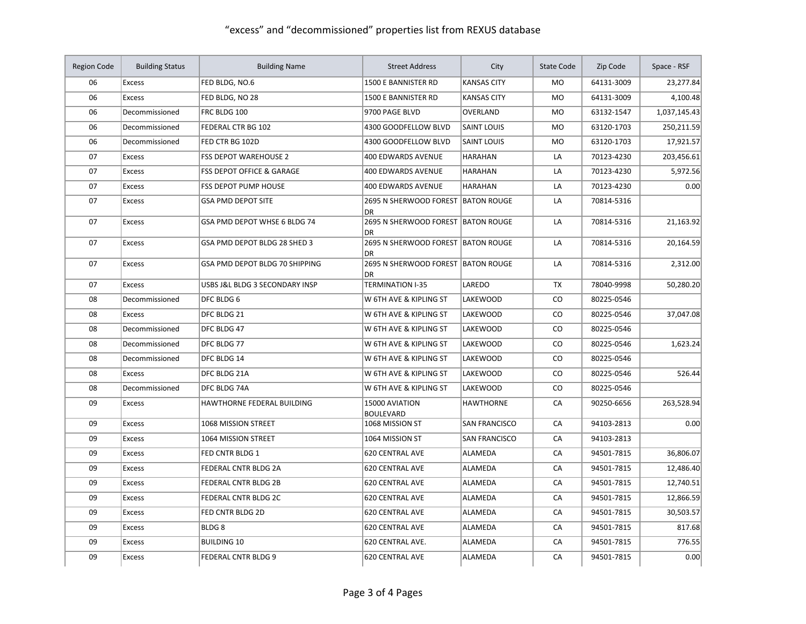| <b>Region Code</b> | <b>Building Status</b> | <b>Building Name</b>                 | <b>Street Address</b>                           | City                 | <b>State Code</b> | Zip Code   | Space - RSF  |
|--------------------|------------------------|--------------------------------------|-------------------------------------------------|----------------------|-------------------|------------|--------------|
| 06                 | <b>Excess</b>          | FED BLDG, NO.6                       | 1500 E BANNISTER RD                             | <b>KANSAS CITY</b>   | <b>MO</b>         | 64131-3009 | 23,277.84    |
| 06                 | <b>Excess</b>          | FED BLDG, NO 28                      | 1500 E BANNISTER RD                             | <b>KANSAS CITY</b>   | <b>MO</b>         | 64131-3009 | 4,100.48     |
| 06                 | Decommissioned         | FRC BLDG 100                         | 9700 PAGE BLVD                                  | OVERLAND             | <b>MO</b>         | 63132-1547 | 1,037,145.43 |
| 06                 | Decommissioned         | FEDERAL CTR BG 102                   | 4300 GOODFELLOW BLVD                            | <b>SAINT LOUIS</b>   | <b>MO</b>         | 63120-1703 | 250,211.59   |
| 06                 | Decommissioned         | FED CTR BG 102D                      | 4300 GOODFELLOW BLVD                            | <b>SAINT LOUIS</b>   | <b>MO</b>         | 63120-1703 | 17,921.57    |
| 07                 | Excess                 | <b>FSS DEPOT WAREHOUSE 2</b>         | 400 EDWARDS AVENUE                              | <b>HARAHAN</b>       | LA                | 70123-4230 | 203,456.61   |
| 07                 | <b>Excess</b>          | <b>FSS DEPOT OFFICE &amp; GARAGE</b> | <b>400 EDWARDS AVENUE</b>                       | <b>HARAHAN</b>       | LA                | 70123-4230 | 5,972.56     |
| 07                 | <b>Excess</b>          | <b>FSS DEPOT PUMP HOUSE</b>          | <b>400 EDWARDS AVENUE</b>                       | <b>HARAHAN</b>       | LA                | 70123-4230 | 0.00         |
| 07                 | <b>Excess</b>          | <b>GSA PMD DEPOT SITE</b>            | 2695 N SHERWOOD FOREST BATON ROUGE<br><b>DR</b> |                      | LA                | 70814-5316 |              |
| 07                 | <b>Excess</b>          | GSA PMD DEPOT WHSE 6 BLDG 74         | 2695 N SHERWOOD FOREST BATON ROUGE<br><b>DR</b> |                      | LA                | 70814-5316 | 21,163.92    |
| 07                 | <b>Excess</b>          | GSA PMD DEPOT BLDG 28 SHED 3         | 2695 N SHERWOOD FOREST BATON ROUGE<br><b>DR</b> |                      | LA                | 70814-5316 | 20,164.59    |
| 07                 | <b>Excess</b>          | GSA PMD DEPOT BLDG 70 SHIPPING       | 2695 N SHERWOOD FOREST BATON ROUGE<br><b>DR</b> |                      | LA                | 70814-5316 | 2,312.00     |
| 07                 | <b>Excess</b>          | USBS J&L BLDG 3 SECONDARY INSP       | <b>TERMINATION I-35</b>                         | LAREDO               | <b>TX</b>         | 78040-9998 | 50,280.20    |
| 08                 | Decommissioned         | DFC BLDG 6                           | W 6TH AVE & KIPLING ST                          | <b>LAKEWOOD</b>      | CO                | 80225-0546 |              |
| 08                 | <b>Excess</b>          | DFC BLDG 21                          | W 6TH AVE & KIPLING ST                          | LAKEWOOD             | CO                | 80225-0546 | 37,047.08    |
| 08                 | Decommissioned         | DFC BLDG 47                          | W 6TH AVE & KIPLING ST                          | LAKEWOOD             | CO                | 80225-0546 |              |
| 08                 | Decommissioned         | DFC BLDG 77                          | W 6TH AVE & KIPLING ST                          | LAKEWOOD             | CO                | 80225-0546 | 1,623.24     |
| 08                 | Decommissioned         | DFC BLDG 14                          | W 6TH AVE & KIPLING ST                          | <b>LAKEWOOD</b>      | $\mathsf{co}\,$   | 80225-0546 |              |
| 08                 | <b>Excess</b>          | DFC BLDG 21A                         | W 6TH AVE & KIPLING ST                          | <b>LAKEWOOD</b>      | $\mathsf{co}\,$   | 80225-0546 | 526.44       |
| 08                 | Decommissioned         | DFC BLDG 74A                         | W 6TH AVE & KIPLING ST                          | LAKEWOOD             | CO                | 80225-0546 |              |
| 09                 | <b>Excess</b>          | HAWTHORNE FEDERAL BUILDING           | 15000 AVIATION<br><b>BOULEVARD</b>              | <b>HAWTHORNE</b>     | CA                | 90250-6656 | 263,528.94   |
| 09                 | <b>Excess</b>          | 1068 MISSION STREET                  | 1068 MISSION ST                                 | <b>SAN FRANCISCO</b> | CA                | 94103-2813 | 0.00         |
| 09                 | <b>Excess</b>          | 1064 MISSION STREET                  | 1064 MISSION ST                                 | <b>SAN FRANCISCO</b> | CA                | 94103-2813 |              |
| 09                 | <b>Excess</b>          | FED CNTR BLDG 1                      | <b>620 CENTRAL AVE</b>                          | ALAMEDA              | CA                | 94501-7815 | 36,806.07    |
| 09                 | <b>Excess</b>          | FEDERAL CNTR BLDG 2A                 | <b>620 CENTRAL AVE</b>                          | <b>ALAMEDA</b>       | CA                | 94501-7815 | 12,486.40    |
| 09                 | <b>Excess</b>          | FEDERAL CNTR BLDG 2B                 | <b>620 CENTRAL AVE</b>                          | ALAMEDA              | CA                | 94501-7815 | 12,740.51    |
| 09                 | Excess                 | FEDERAL CNTR BLDG 2C                 | <b>620 CENTRAL AVE</b>                          | ALAMEDA              | CA                | 94501-7815 | 12,866.59    |
| 09                 | Excess                 | FED CNTR BLDG 2D                     | <b>620 CENTRAL AVE</b>                          | ALAMEDA              | CA                | 94501-7815 | 30,503.57    |
| 09                 | <b>Excess</b>          | BLDG <sub>8</sub>                    | <b>620 CENTRAL AVE</b>                          | ALAMEDA              | CA                | 94501-7815 | 817.68       |
| 09                 | <b>Excess</b>          | <b>BUILDING 10</b>                   | 620 CENTRAL AVE.                                | ALAMEDA              | CA                | 94501-7815 | 776.55       |
| 09                 | <b>Excess</b>          | <b>FEDERAL CNTR BLDG 9</b>           | <b>620 CENTRAL AVE</b>                          | <b>ALAMEDA</b>       | CA                | 94501-7815 | 0.00         |